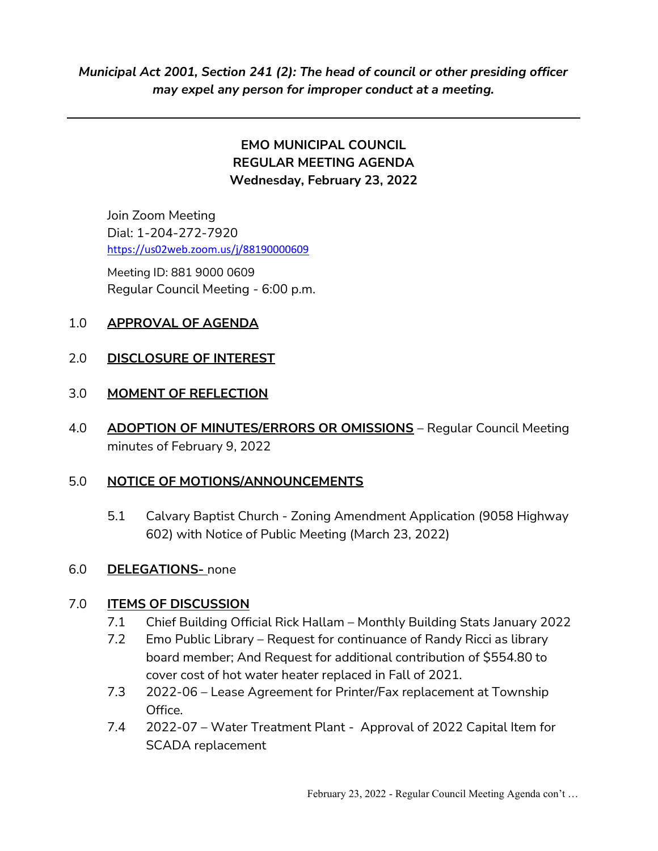## EMO MUNICIPAL COUNCIL REGULAR MEETING AGENDA Wednesday, February 23, 2022

Join Zoom Meeting Dial: 1-204-272-7920 https://us02web.zoom.us/j/88190000609

 Meeting ID: 881 9000 0609 Regular Council Meeting - 6:00 p.m.

## 1.0 APPROVAL OF AGENDA

### 2.0 DISCLOSURE OF INTEREST

#### 3.0 MOMENT OF REFLECTION

4.0 ADOPTION OF MINUTES/ERRORS OR OMISSIONS - Regular Council Meeting minutes of February 9, 2022

## 5.0 NOTICE OF MOTIONS/ANNOUNCEMENTS

 5.1 Calvary Baptist Church - Zoning Amendment Application (9058 Highway 602) with Notice of Public Meeting (March 23, 2022)

#### 6.0 DELEGATIONS- none

#### 7.0 ITEMS OF DISCUSSION

- 7.1 Chief Building Official Rick Hallam Monthly Building Stats January 2022
- 7.2 Emo Public Library Request for continuance of Randy Ricci as library board member; And Request for additional contribution of \$554.80 to cover cost of hot water heater replaced in Fall of 2021.
- 7.3 2022-06 Lease Agreement for Printer/Fax replacement at Township Office.
- 7.4 2022-07 Water Treatment Plant Approval of 2022 Capital Item for SCADA replacement